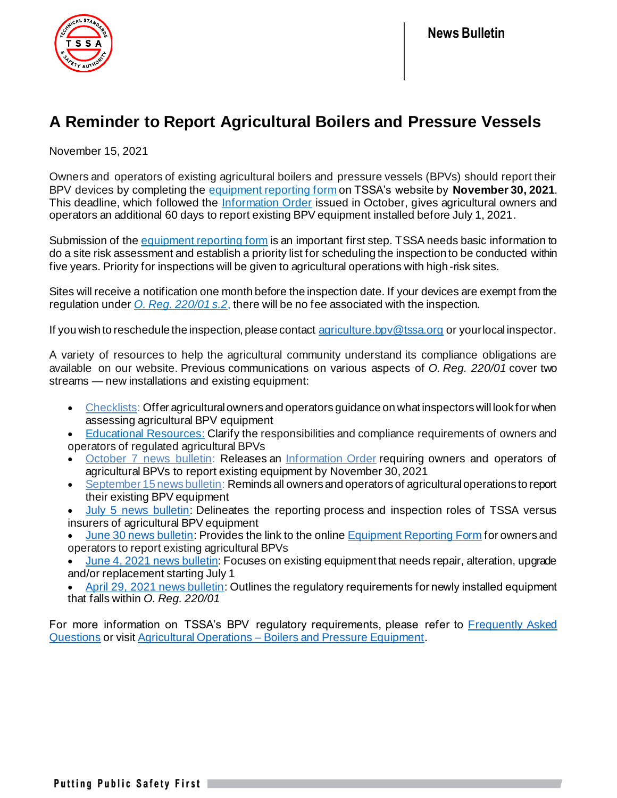

## **A Reminder to Report Agricultural Boilers and Pressure Vessels**

November 15, 2021

Owners and operators of existing agricultural boilers and pressure vessels (BPVs) should report their BPV devices by completing the [equipment reporting](https://forms.tssa.org/Boilers-or-Pressure-Equipment-Agricultural-Use?previewmode=23362917-4250-4cb0-a1af-ad020179822c) form on TSSA's website by **November 30, 2021**. This deadline, which followed the [Information Order](https://www.tssa.org/en/elevating-devices/resources/Information-Order-and-Form---Revokation-of-AG-exemption-Final_October-1-2021_Web-Version2.pdf) issued in October, gives agricultural owners and operators an additional 60 days to report existing BPV equipment installed before July 1, 2021.

Submission of the [equipment reporting form](https://forms.tssa.org/Boilers-or-Pressure-Equipment-Agricultural-Use?previewmode=23362917-4250-4cb0-a1af-ad020179822c) is an important first step. TSSA needs basic information to do a site risk assessment and establish a priority list for scheduling the inspection to be conducted within five years. Priority for inspections will be given to agricultural operations with high-risk sites.

Sites will receive a notification one month before the inspection date. If your devices are exempt from the regulation under *O. [Reg. 220/01](https://www.ontario.ca/laws/regulation/010220) s.2*, there will be no fee associated with the inspection.

If you wish to reschedule the inspection, please contact [agriculture.bpv@tssa.org](mailto:agriculture.bpv@tssa.org) or your local inspector.

A variety of resources to help the agricultural community understand its compliance obligations are available on our website. Previous communications on various aspects of *O. Reg. 220/01* cover two streams — new installations and existing equipment:

- [Checklists:](https://www.tssa.org/en/boilers-pressure-vessels/resources/Documents/3c-checklists.pdf) Offer agricultural owners and operators guidance on what inspectors will look for when assessing agricultural BPV equipment
- [Educational Resources:](https://www.tssa.org/en/boilers-pressure-vessels/educational-resources.aspx) Clarify the responsibilities and compliance requirements of owners and operators of regulated agricultural BPVs
- **[October 7 news bulletin:](https://www.tssa.org/Modules/News/index.aspx?feedId=ff34d029-6100-428b-87a6-89ed3918dcd4&newsId=ffcbe949-6935-4ec5-9ec9-ec3206e49167) Releases an [Information Order](https://www.tssa.org/en/elevating-devices/resources/Information-Order-and-Form---Revokation-of-AG-exemption-Final_October-1-2021_Web-Version2.pdf) requiring owners and operators of** agricultural BPVs to report existing equipment by November 30, 2021
- [September 15 news bulletin:](https://www.tssa.org/Modules/News/index.aspx?feedId=ff34d029-6100-428b-87a6-89ed3918dcd4&newsId=8ade07f3-c1f1-448f-a04a-b2efe42c07dd) Reminds all owners and operators of agricultural operations to report their existing BPV equipment
- **[July 5 news bulletin:](https://www.tssa.org/Modules/News/index.aspx?lang=en&newsId=575a4565-24b6-4949-8043-e0f78ff03d47)** Delineates the reporting process and inspection roles of TSSA versus insurers of agricultural BPV equipment
- [June 30 news bulletin:](https://www.tssa.org/Modules/News/index.aspx?feedId=ff34d029-6100-428b-87a6-89ed3918dcd4&newsId=3312ae62-69db-4aa3-8fb2-cbfd2405b7b4) Provides the link to the online [Equipment Reporting Form](https://forms.tssa.org/Boilers-or-Pressure-Equipment-Agricultural-Use?previewmode=23362917-4250-4cb0-a1af-ad020179822c) for owners and operators to report existing agricultural BPVs
- [June 4, 2021 news bulletin](https://www.tssa.org/Modules/News/index.aspx?lang=en&newsId=3bb9cf21-0f51-4d6d-9077-415d24650c00): Focuses on existing equipment that needs repair, alteration, upgrade and/or replacement starting July 1
- [April 29, 2021 news bulletin:](https://www.tssa.org/Modules/News/index.aspx?feedId=a432fea8-34f2-4fb2-97ec-b393c44fc0eb,4c142457-0d0f-4773-a511-7866672bbffa,ff34d029-6100-428b-87a6-89ed3918dcd4,7b882e28-3b4f-4044-ba7f-6df58a31ce1b,5b7aff3b-3f29-440e-b6f7-f3341638e717,3b0a683e-3289-4504-a528-320a2d741fa6,b32b6789-a2cf-4413-a8b2-cc829952ee7e,4ca86901-c2ab-453b-b95b-123f516c0c9f,f53a4329-8b60-4d38-acc2-ffff6c74d7f1,e018aaf8-86ba-4954-902c-489db3ded3c8&newsId=9d81fdb9-bc1e-4087-a81e-34c08d5c1ca2) Outlines the regulatory requirements for newly installed equipment that falls within *O. Reg. 220/01*

For more information on TSSA's BPV regulatory requirements, please refer to Frequently Asked [Questions](https://www.tssa.org/en/boilers-pressure-vessels/agricultural-use---bpv---faqs.aspx) or visit Agricultural Operations – [Boilers and Pressure Equipment](https://www.tssa.org/en/boilers-pressure-vessels/agricultural-use---boilers-and-pressure-equipment.aspx).